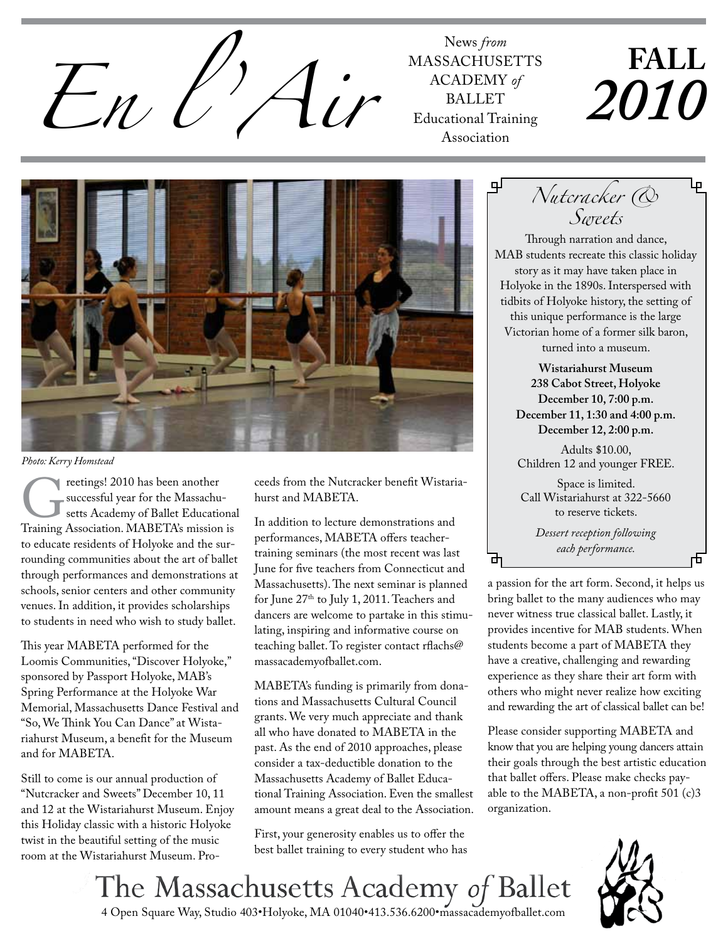

**MASSACHUSETTS** ACADEMY of **BALLET** Educational Training Association

# **Fall** *2010*



*Photo: Kerry Homstead*

Teetings! 2010 has been another<br>
successful year for the Massachu-<br>
Setts Academy of Ballet Educationa<br>
Training Association. MABETA's mission is successful year for the Massachusetts Academy of Ballet Educational to educate residents of Holyoke and the surrounding communities about the art of ballet through performances and demonstrations at schools, senior centers and other community venues. In addition, it provides scholarships to students in need who wish to study ballet.

This year MABETA performed for the Loomis Communities, "Discover Holyoke," sponsored by Passport Holyoke, MAB's Spring Performance at the Holyoke War Memorial, Massachusetts Dance Festival and "So, We Think You Can Dance" at Wistariahurst Museum, a benefit for the Museum and for MABETA.

Still to come is our annual production of "Nutcracker and Sweets" December 10, 11 and 12 at the Wistariahurst Museum. Enjoy this Holiday classic with a historic Holyoke twist in the beautiful setting of the music room at the Wistariahurst Museum. Proceeds from the Nutcracker benefit Wistariahurst and MABETA.

In addition to lecture demonstrations and performances, MABETA offers teachertraining seminars (the most recent was last June for five teachers from Connecticut and Massachusetts). The next seminar is planned for June 27<sup>th</sup> to July 1, 2011. Teachers and dancers are welcome to partake in this stimulating, inspiring and informative course on teaching ballet. To register contact rflachs@ massacademyofballet.com.

MABETA's funding is primarily from donations and Massachusetts Cultural Council grants. We very much appreciate and thank all who have donated to MABETA in the past. As the end of 2010 approaches, please consider a tax-deductible donation to the Massachusetts Academy of Ballet Educational Training Association. Even the smallest amount means a great deal to the Association.

First, your generosity enables us to offer the best ballet training to every student who has

*Nutcracker & Sweets* Through narration and dance, MAB students recreate this classic holiday story as it may have taken place in Holyoke in the 1890s. Interspersed with tidbits of Holyoke history, the setting of this unique performance is the large Victorian home of a former silk baron,

turned into a museum.

**Wistariahurst Museum 238 Cabot Street, Holyoke December 10, 7:00 p.m. December 11, 1:30 and 4:00 p.m. December 12, 2:00 p.m.** 

Adults \$10.00, Children 12 and younger FREE .

Space is limited. Call Wistariahurst at 322-5660 to reserve tickets.

> *Dessert reception following each performance.*

ᇚ

a passion for the art form. Second, it helps us bring ballet to the many audiences who may never witness true classical ballet. Lastly, it provides incentive for MAB students. When students become a part of MABETA they have a creative, challenging and rewarding experience as they share their art form with others who might never realize how exciting and rewarding the art of classical ballet can be!

Please consider supporting MABETA and know that you are helping young dancers attain their goals through the best artistic education that ballet offers. Please make checks payable to the MABETA, a non-profit 501 (c)3 organization.

The Massachusetts Academy of Ballet 4 Open Square Way, Studio 403•Holyoke, MA 01040•413.536.6200•massacademyofballet.com

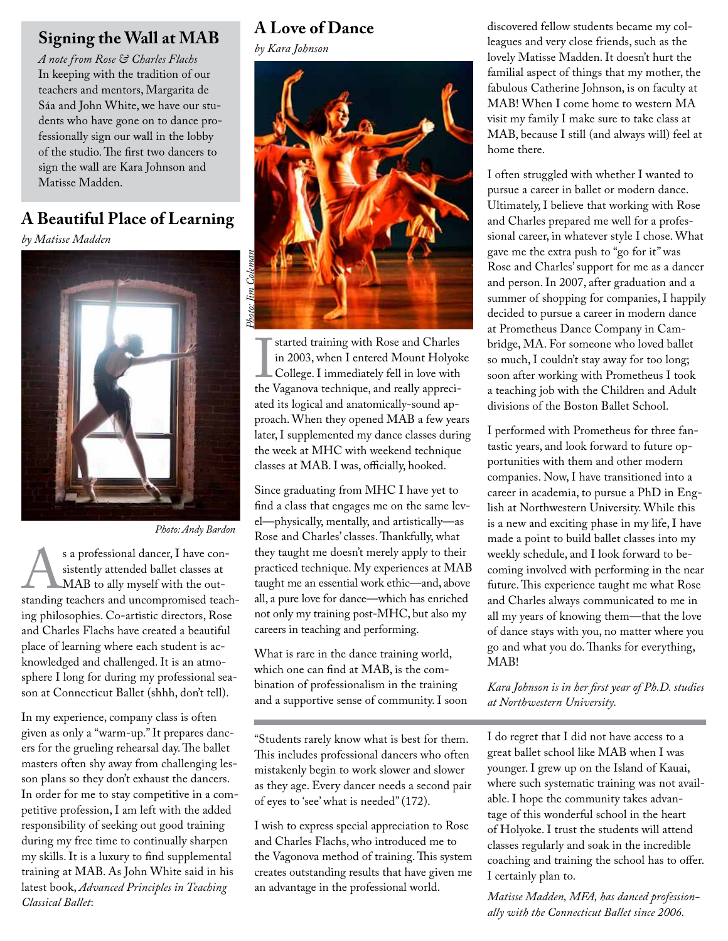## **Signing the Wall at MAB**

*A note from Rose & Charles Flachs* In keeping with the tradition of our teachers and mentors, Margarita de Sáa and John White, we have our students who have gone on to dance professionally sign our wall in the lobby of the studio. The first two dancers to sign the wall are Kara Johnson and Matisse Madden.

# **A Beautiful Place of Learning**

*by Matisse Madden*



*Photo: Andy Bardon*

s a professional dancer, I have con-<br>sistently attended ballet classes at<br>MAB to ally myself with the out-<br>standing teachers and uncompromised teachsistently attended ballet classes at MAB to ally myself with the outing philosophies. Co-artistic directors, Rose and Charles Flachs have created a beautiful place of learning where each student is acknowledged and challenged. It is an atmosphere I long for during my professional season at Connecticut Ballet (shhh, don't tell).

In my experience, company class is often given as only a "warm-up." It prepares dancers for the grueling rehearsal day. The ballet masters often shy away from challenging lesson plans so they don't exhaust the dancers. In order for me to stay competitive in a competitive profession, I am left with the added responsibility of seeking out good training during my free time to continually sharpen my skills. It is a luxury to find supplemental training at MAB. As John White said in his latest book, *Advanced Principles in Teaching Classical Ballet*:

## **A Love of Dance**

*by Kara Johnson*



I started training with Rose and Charles<br>in 2003, when I entered Mount Holyok<br>College. I immediately fell in love with<br>the Vaganova technique, and really appreciin 2003, when I entered Mount Holyoke College. I immediately fell in love with the Vaganova technique, and really appreciated its logical and anatomically-sound approach. When they opened MAB a few years later, I supplemented my dance classes during the week at MHC with weekend technique classes at MAB. I was, officially, hooked.

Since graduating from MHC I have yet to find a class that engages me on the same level—physically, mentally, and artistically—as Rose and Charles' classes. Thankfully, what they taught me doesn't merely apply to their practiced technique. My experiences at MAB taught me an essential work ethic—and, above all, a pure love for dance—which has enriched not only my training post-MHC, but also my careers in teaching and performing.

What is rare in the dance training world, which one can find at MAB, is the combination of professionalism in the training and a supportive sense of community. I soon

"Students rarely know what is best for them. This includes professional dancers who often mistakenly begin to work slower and slower as they age. Every dancer needs a second pair of eyes to 'see' what is needed" (172).

I wish to express special appreciation to Rose and Charles Flachs, who introduced me to the Vagonova method of training. This system creates outstanding results that have given me an advantage in the professional world.

discovered fellow students became my colleagues and very close friends, such as the lovely Matisse Madden. It doesn't hurt the familial aspect of things that my mother, the fabulous Catherine Johnson, is on faculty at MAB! When I come home to western MA visit my family I make sure to take class at MAB, because I still (and always will) feel at home there.

I often struggled with whether I wanted to pursue a career in ballet or modern dance. Ultimately, I believe that working with Rose and Charles prepared me well for a professional career, in whatever style I chose. What gave me the extra push to "go for it" was Rose and Charles' support for me as a dancer and person. In 2007, after graduation and a summer of shopping for companies, I happily decided to pursue a career in modern dance at Prometheus Dance Company in Cambridge, MA. For someone who loved ballet so much, I couldn't stay away for too long; soon after working with Prometheus I took a teaching job with the Children and Adult divisions of the Boston Ballet School.

I performed with Prometheus for three fantastic years, and look forward to future opportunities with them and other modern companies. Now, I have transitioned into a career in academia, to pursue a PhD in English at Northwestern University. While this is a new and exciting phase in my life, I have made a point to build ballet classes into my weekly schedule, and I look forward to becoming involved with performing in the near future. This experience taught me what Rose and Charles always communicated to me in all my years of knowing them—that the love of dance stays with you, no matter where you go and what you do. Thanks for everything, MAB!

*Kara Johnson is in her first year of Ph.D. studies at Northwestern University.*

I do regret that I did not have access to a great ballet school like MAB when I was younger. I grew up on the Island of Kauai, where such systematic training was not available. I hope the community takes advantage of this wonderful school in the heart of Holyoke. I trust the students will attend classes regularly and soak in the incredible coaching and training the school has to offer. I certainly plan to.

*Matisse Madden, MFA, has danced professionally with the Connecticut Ballet since 2006.*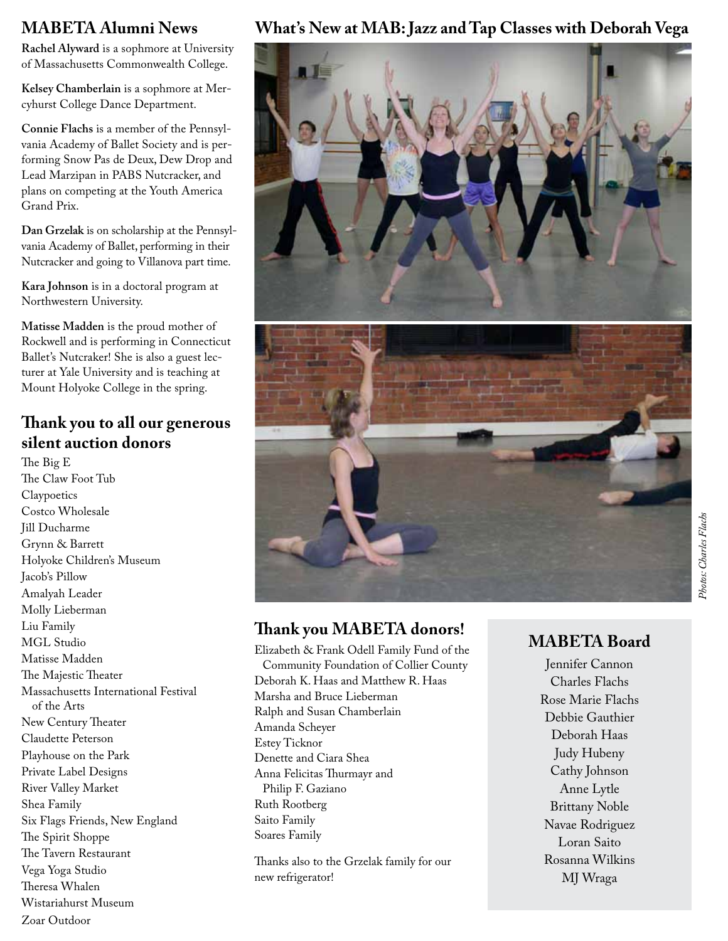#### **MABETA Alumni News**

**Rachel Alyward** is a sophmore at University of Massachusetts Commonwealth College.

**Kelsey Chamberlain** is a sophmore at Mercyhurst College Dance Department.

**Connie Flachs** is a member of the Pennsylvania Academy of Ballet Society and is performing Snow Pas de Deux, Dew Drop and Lead Marzipan in PABS Nutcracker, and plans on competing at the Youth America Grand Prix.

**Dan Grzelak** is on scholarship at the Pennsylvania Academy of Ballet, performing in their Nutcracker and going to Villanova part time.

**Kara Johnson** is in a doctoral program at Northwestern University.

**Matisse Madden** is the proud mother of Rockwell and is performing in Connecticut Ballet's Nutcraker! She is also a guest lecturer at Yale University and is teaching at Mount Holyoke College in the spring.

#### **Thank you to all our generous silent auction donors**

The Big E The Claw Foot Tub **Claypoetics** Costco Wholesale Jill Ducharme Grynn & Barrett Holyoke Children's Museum Jacob's Pillow Amalyah Leader Molly Lieberman Liu Family MGL Studio Matisse Madden The Majestic Theater Massachusetts International Festival of the Arts New Century Theater Claudette Peterson Playhouse on the Park Private Label Designs River Valley Market Shea Family Six Flags Friends, New England The Spirit Shoppe The Tavern Restaurant Vega Yoga Studio Theresa Whalen Wistariahurst Museum Zoar Outdoor

#### **What's New at MAB: Jazz and Tap Classes with Deborah Vega**



### **Thank you MABETA donors!**

Elizabeth & Frank Odell Family Fund of the Community Foundation of Collier County Deborah K. Haas and Matthew R. Haas Marsha and Bruce Lieberman Ralph and Susan Chamberlain Amanda Scheyer Estey Ticknor Denette and Ciara Shea Anna Felicitas Thurmayr and Philip F. Gaziano Ruth Rootberg Saito Family Soares Family

Thanks also to the Grzelak family for our new refrigerator!

### **MABETA Board**

Jennifer Cannon Charles Flachs Rose Marie Flachs Debbie Gauthier Deborah Haas Judy Hubeny Cathy Johnson Anne Lytle Brittany Noble Navae Rodriguez Loran Saito Rosanna Wilkins MJ Wraga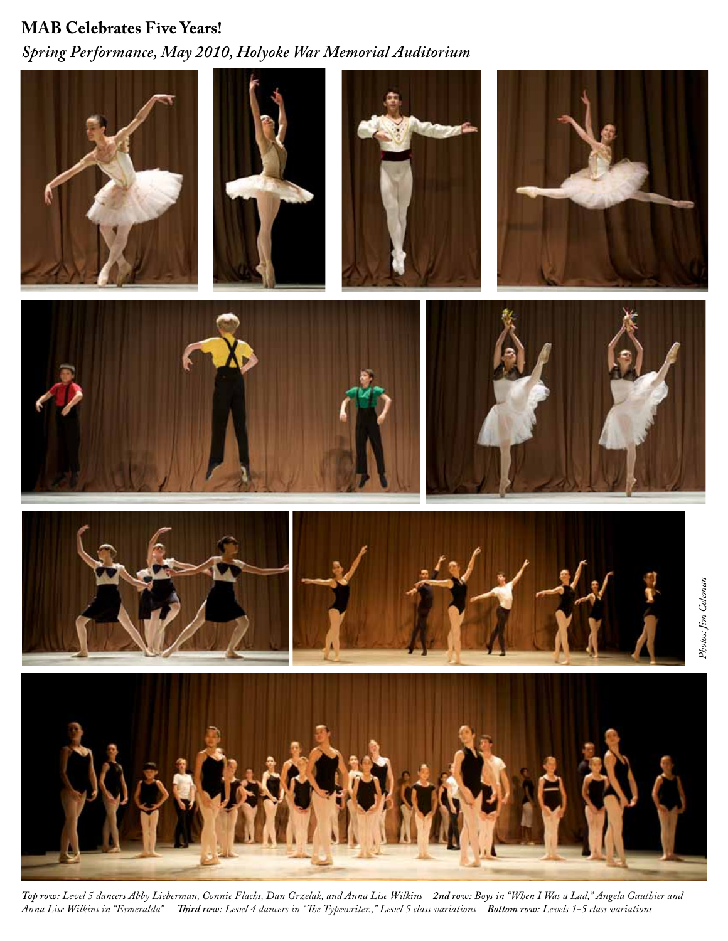# **MAB Celebrates Five Years!** *Spring Performance, May 2010, Holyoke War Memorial Auditorium*



*Top row: Level 5 dancers Abby Lieberman, Connie Flachs, Dan Grzelak, and Anna Lise Wilkins 2nd row: Boys in "When I Was a Lad," Angela Gauthier and Anna Lise Wilkins in "Esmeralda" Third row: Level 4 dancers in "The Typewriter.," Level 5 class variations Bottom row: Levels 1-5 class variations*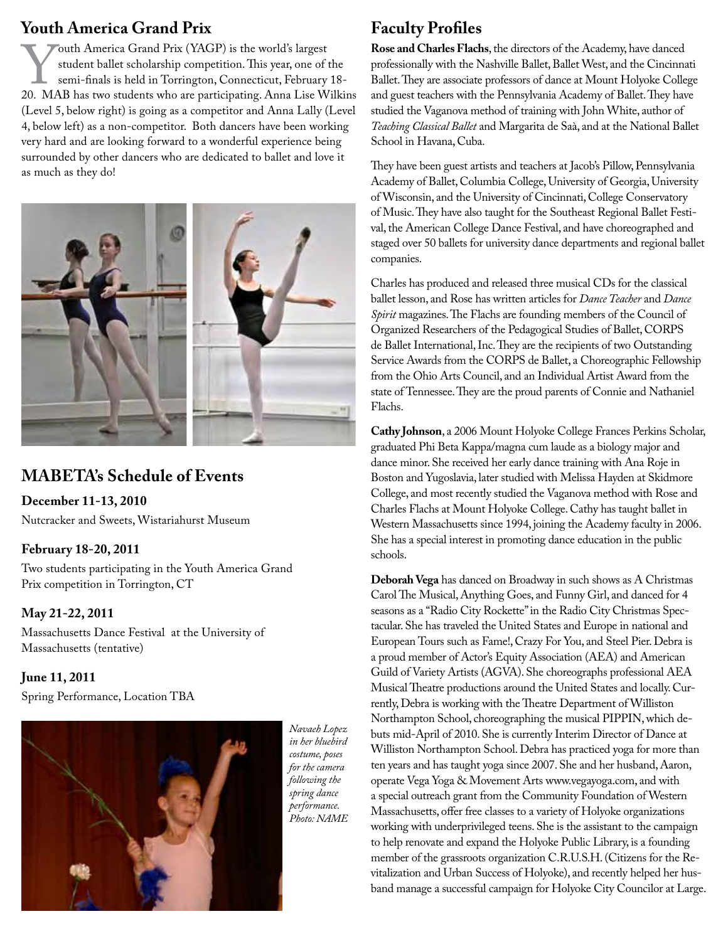**Youth America Grand Prix**<br>Touth America Grand Prix (YAGP) is the world's largest Fouth America Grand Prix (YAGP) is the world's largest<br>
student ballet scholarship competition. This year, one of the<br>
20. MAB has two students who are participating. Anna Lise Wilkins student ballet scholarship competition. This year, one of the semi-finals is held in Torrington, Connecticut, February 18- (Level 5, below right) is going as a competitor and Anna Lally (Level 4, below left) as a non-competitor. Both dancers have been working very hard and are looking forward to a wonderful experience being surrounded by other dancers who are dedicated to ballet and love it as much as they do!



#### **MABETA's Schedule of Events**

**December 11-13, 2010** 

Nutcracker and Sweets, Wistariahurst Museum

#### **February 18-20, 2011**

Two students participating in the Youth America Grand Prix competition in Torrington, CT

#### **May 21-22, 2011**

Massachusetts Dance Festival at the University of Massachusetts (tentative)

#### **June 11, 2011**

Spring Performance, Location TBA



*Navaeh Lopez in her bluebird costume, poses for the camera following the spring dance performance. Photo: NAME*

#### **Faculty Profiles**

**Rose and Charles Flachs**, the directors of the Academy, have danced professionally with the Nashville Ballet, Ballet West, and the Cincinnati Ballet. They are associate professors of dance at Mount Holyoke College and guest teachers with the Pennsylvania Academy of Ballet. They have studied the Vaganova method of training with John White, author of *Teaching Classical Ballet* and Margarita de Saà, and at the National Ballet School in Havana, Cuba.

They have been guest artists and teachers at Jacob's Pillow, Pennsylvania Academy of Ballet, Columbia College, University of Georgia, University of Wisconsin, and the University of Cincinnati, College Conservatory of Music. They have also taught for the Southeast Regional Ballet Festival, the American College Dance Festival, and have choreographed and staged over 50 ballets for university dance departments and regional ballet companies.

Charles has produced and released three musical CDs for the classical ballet lesson, and Rose has written articles for *Dance Teacher* and *Dance Spirit* magazines. The Flachs are founding members of the Council of Organized Researchers of the Pedagogical Studies of Ballet, CORPS de Ballet International, Inc. They are the recipients of two Outstanding Service Awards from the CORPS de Ballet, a Choreographic Fellowship from the Ohio Arts Council, and an Individual Artist Award from the state of Tennessee. They are the proud parents of Connie and Nathaniel Flachs.

**Cathy Johnson**, a 2006 Mount Holyoke College Frances Perkins Scholar, graduated Phi Beta Kappa/magna cum laude as a biology major and dance minor. She received her early dance training with Ana Roje in Boston and Yugoslavia, later studied with Melissa Hayden at Skidmore College, and most recently studied the Vaganova method with Rose and Charles Flachs at Mount Holyoke College. Cathy has taught ballet in Western Massachusetts since 1994, joining the Academy faculty in 2006. She has a special interest in promoting dance education in the public schools.

**Deborah Vega** has danced on Broadway in such shows as A Christmas Carol The Musical, Anything Goes, and Funny Girl, and danced for 4 seasons as a "Radio City Rockette" in the Radio City Christmas Spectacular. She has traveled the United States and Europe in national and European Tours such as Fame!, Crazy For You, and Steel Pier. Debra is a proud member of Actor's Equity Association (AEA) and American Guild of Variety Artists (AGVA). She choreographs professional AEA Musical Theatre productions around the United States and locally. Currently, Debra is working with the Theatre Department of Williston Northampton School, choreographing the musical PIPPIN, which debuts mid-April of 2010. She is currently Interim Director of Dance at Williston Northampton School. Debra has practiced yoga for more than ten years and has taught yoga since 2007. She and her husband, Aaron, operate Vega Yoga & Movement Arts www.vegayoga.com, and with a special outreach grant from the Community Foundation of Western Massachusetts, offer free classes to a variety of Holyoke organizations working with underprivileged teens. She is the assistant to the campaign to help renovate and expand the Holyoke Public Library, is a founding member of the grassroots organization C.R.U.S.H. (Citizens for the Revitalization and Urban Success of Holyoke), and recently helped her husband manage a successful campaign for Holyoke City Councilor at Large.